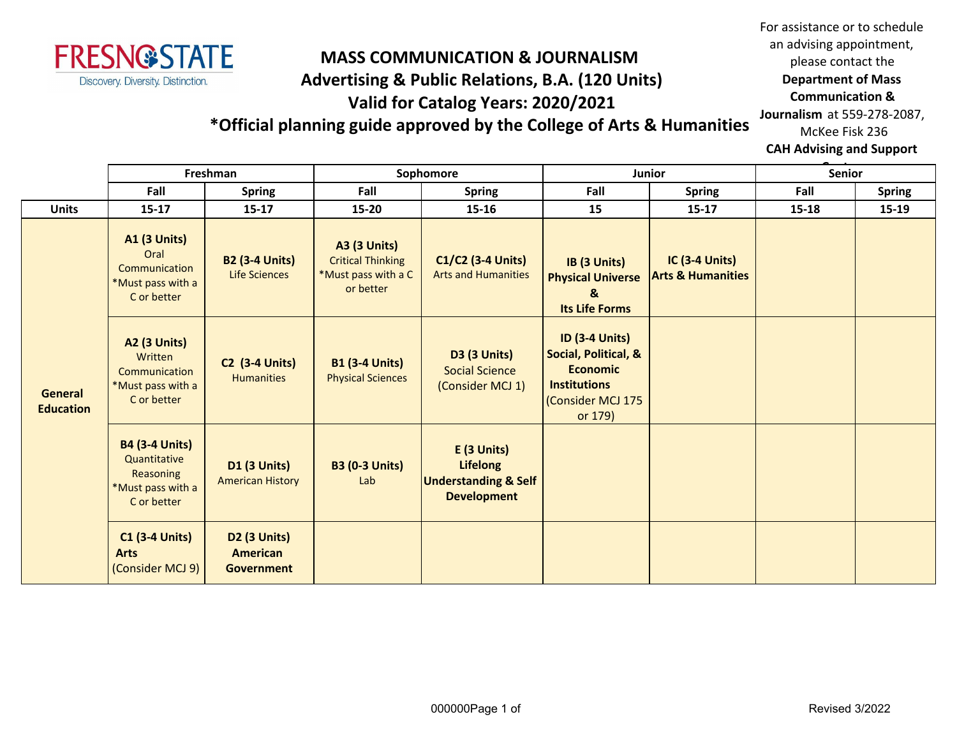

## **MASS COMMUNICATION & JOURNALISM Advertising & Public Relations, B.A. (120 Units) Valid for Catalog Years: 2020/2021**

For assistance or to schedule an advising appointment, please contact the **Department of Mass Communication & Journalism** at 559-278-2087, McKee Fisk 236

## **\*Official planning guide approved by the College of Arts & Humanities**

**CAH Advising and Support** 

|                                    | Freshman                                                                               |                                                      | Sophomore                                                                           |                                                                                         | <b>Junior</b>                                                                                                           |                                                       | <b>Senior</b> |               |
|------------------------------------|----------------------------------------------------------------------------------------|------------------------------------------------------|-------------------------------------------------------------------------------------|-----------------------------------------------------------------------------------------|-------------------------------------------------------------------------------------------------------------------------|-------------------------------------------------------|---------------|---------------|
|                                    | Fall                                                                                   | <b>Spring</b>                                        | Fall                                                                                | <b>Spring</b>                                                                           | Fall                                                                                                                    | <b>Spring</b>                                         | Fall          | <b>Spring</b> |
| <b>Units</b>                       | $15 - 17$                                                                              | $15 - 17$                                            | 15-20                                                                               | 15-16                                                                                   | 15                                                                                                                      | $15 - 17$                                             | $15 - 18$     | 15-19         |
| <b>General</b><br><b>Education</b> | <b>A1 (3 Units)</b><br>Oral<br>Communication<br>*Must pass with a<br>C or better       | <b>B2 (3-4 Units)</b><br><b>Life Sciences</b>        | <b>A3 (3 Units)</b><br><b>Critical Thinking</b><br>*Must pass with a C<br>or better | C1/C2 (3-4 Units)<br><b>Arts and Humanities</b>                                         | IB (3 Units)<br><b>Physical Universe</b><br>&<br><b>Its Life Forms</b>                                                  | <b>IC (3-4 Units)</b><br><b>Arts &amp; Humanities</b> |               |               |
|                                    | <b>A2 (3 Units)</b><br>Written<br>Communication<br>*Must pass with a<br>C or better    | <b>C2 (3-4 Units)</b><br><b>Humanities</b>           | <b>B1 (3-4 Units)</b><br><b>Physical Sciences</b>                                   | <b>D3 (3 Units)</b><br><b>Social Science</b><br>(Consider MCJ 1)                        | <b>ID (3-4 Units)</b><br>Social, Political, &<br><b>Economic</b><br><b>Institutions</b><br>(Consider MCJ 175<br>or 179) |                                                       |               |               |
|                                    | <b>B4 (3-4 Units)</b><br>Quantitative<br>Reasoning<br>*Must pass with a<br>C or better | <b>D1 (3 Units)</b><br><b>American History</b>       | <b>B3 (0-3 Units)</b><br>Lab                                                        | E (3 Units)<br><b>Lifelong</b><br><b>Understanding &amp; Self</b><br><b>Development</b> |                                                                                                                         |                                                       |               |               |
|                                    | <b>C1 (3-4 Units)</b><br><b>Arts</b><br>(Consider MCJ 9)                               | <b>D2 (3 Units)</b><br>American<br><b>Government</b> |                                                                                     |                                                                                         |                                                                                                                         |                                                       |               |               |